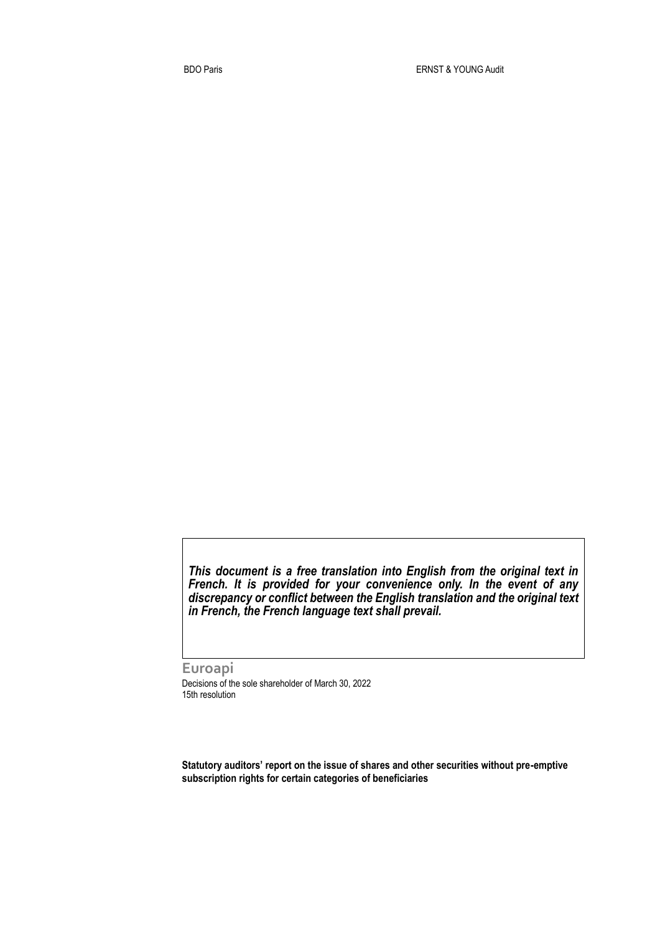*This document is a free translation into English from the original text in French. It is provided for your convenience only. In the event of any discrepancy or conflict between the English translation and the original text in French, the French language text shall prevail.* 

**Euroapi** Decisions of the sole shareholder of March 30, 2022 15th resolution

**Statutory auditors' report on the issue of shares and other securities without pre-emptive subscription rights for certain categories of beneficiaries**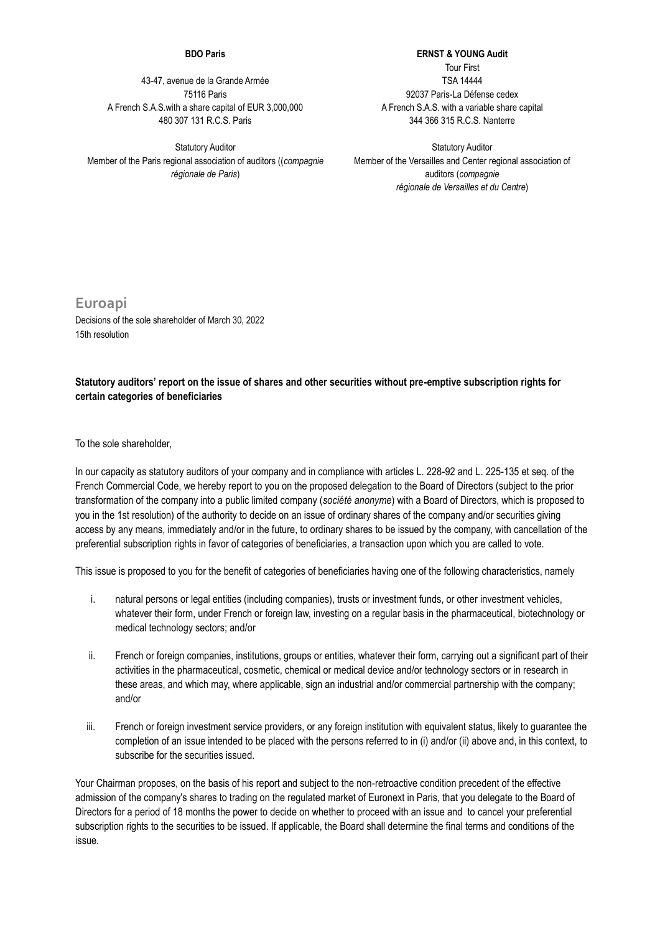## **BDO Paris**

43-47, avenue de la Grande Armée 75116 Paris A French S.A.S.with a share capital of EUR 3,000,000 480 307 131 R.C.S. Paris

Statutory Auditor Member of the Paris regional association of auditors ((*compagnie régionale de Paris*)

**ERNST & YOUNG Audit** Tour First TSA 14444 92037 Paris-La Défense cedex A French S.A.S. with a variable share capital 344 366 315 R.C.S. Nanterre

Statutory Auditor Member of the Versailles and Center regional association of auditors (*compagnie régionale de Versailles et du Centre*)

**Euroapi** Decisions of the sole shareholder of March 30, 2022 15th resolution

## **Statutory auditors' report on the issue of shares and other securities without pre-emptive subscription rights for certain categories of beneficiaries**

To the sole shareholder,

In our capacity as statutory auditors of your company and in compliance with articles L. 228-92 and L. 225-135 et seq. of the French Commercial Code, we hereby report to you on the proposed delegation to the Board of Directors (subject to the prior transformation of the company into a public limited company (*société anonyme*) with a Board of Directors, which is proposed to you in the 1st resolution) of the authority to decide on an issue of ordinary shares of the company and/or securities giving access by any means, immediately and/or in the future, to ordinary shares to be issued by the company, with cancellation of the preferential subscription rights in favor of categories of beneficiaries, a transaction upon which you are called to vote.

This issue is proposed to you for the benefit of categories of beneficiaries having one of the following characteristics, namely

- i. natural persons or legal entities (including companies), trusts or investment funds, or other investment vehicles, whatever their form, under French or foreign law, investing on a regular basis in the pharmaceutical, biotechnology or medical technology sectors; and/or
- ii. French or foreign companies, institutions, groups or entities, whatever their form, carrying out a significant part of their activities in the pharmaceutical, cosmetic, chemical or medical device and/or technology sectors or in research in these areas, and which may, where applicable, sign an industrial and/or commercial partnership with the company; and/or
- iii. French or foreign investment service providers, or any foreign institution with equivalent status, likely to guarantee the completion of an issue intended to be placed with the persons referred to in (i) and/or (ii) above and, in this context, to subscribe for the securities issued.

Your Chairman proposes, on the basis of his report and subject to the non-retroactive condition precedent of the effective admission of the company's shares to trading on the regulated market of Euronext in Paris, that you delegate to the Board of Directors for a period of 18 months the power to decide on whether to proceed with an issue and to cancel your preferential subscription rights to the securities to be issued. If applicable, the Board shall determine the final terms and conditions of the issue.